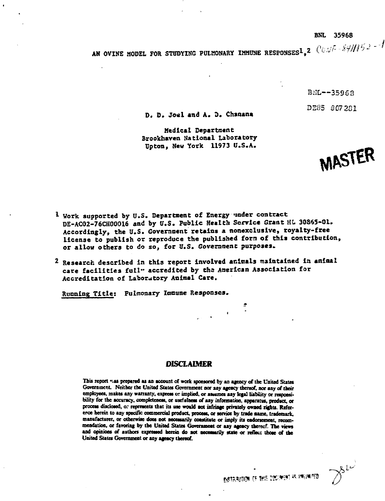#### **BNL 35968**

**AN OVINE MODEL FOR STUDYING PULMONARY IMMUNE RESPONSES<sup>1</sup>,2** (10:3/4 - 39)/15:2 - 7

B<sub>ML</sub>--35968 *DE85* 007201

MASTER

**D. D. Joitl and A.** *2.* **Chanana**

**Medical Departncnt Brookhaven National Laboratory Upton, New York 11973 U.S.A.**

- **1 Work supported by U.S. Department of Energy "inder contract DE-AC02-76CK00016 and by U.S. Public Health Service Grant HI 30865-01. Accordingly, the U.S. Government retains a nonexclusive, royalty-free license to publish or reproduce the published fora of this contribution, or allow others to do so, for U.S. Coveraaent purposes.**
- **2 Research described in this report involved animals maintained la aniaal care facilities full" accredited by tha Aaerlean Association for Accreditation of Laboratory Animal Care.**

**Running Title: Pulmonary Immune Responses.**

# DISCLAIMER

This report was prepared as an account of work sponsored by an agency of the United States **Government. Neither the United States Government nor aay agency thereof, aor any of their** employees, makes any warranty, express or implied, or assumes any legal liability or responsibility for the accuracy, completeness, or usefulness of any information, apparatus, product, or process disclosed, or represents that its use would not infringe privately owned rights. Refererce herein to any specific commercial product, process, or service by trade name, trademark, **manufacturer, or otherwise does not necessarily coastilute or imply its endorsement, recom**mendation, or favoring by the United States Government or any agency thereof. The views and opinions of authors expressed herein do not necessarily state or reflect those of the **United States Government or any agency thereof.**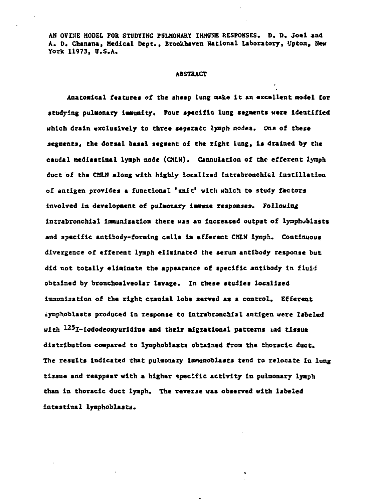**AN OVINE MODEL FOR STUDYING PULMONARY IMMUNE RESPONSES. D. D. Joel and A. D. Chanana, Medical Dept., Brookhaven National Laboratory, Upton, New York 11973, U.S.A.**

### **ABSTRACT**

Anatomical features of the sheep lung make it an excellent model for **studying pulmonary immunity. Four specific lung segments were Identified which drain exclusively to three separate lyiaph nodes. One of these segments, the dorsal basal segment of the right lung, is drained by the caudal medlastinal lynph node (CML14). Cannulatlon of the efferent lynph duct of the CMLN along with highly localized intrabronehial instillation of antigen provides a functional 'unit' with which to study factors involved in development of pulmonary immune responses. Following intrabronchial immunization there was an increased output of ivaphublasts and specific antibody-forming cells in efferent CMLN lynph. Continuous divergence of efferent lyaph eliminated the serum antibody response but did not totally eliminate the appearance of specific antibody in fluid obtained by bronchoalveolar lavage. In these studies localized immunization of the right cranial lobe served as a control. Efferent iyaphoblasts produced in response to intrabronchia1 antigen were labeled with <sup>1</sup>- <sup>25</sup>I-iododeoxyuridlae and their migrations1 patterns lad tissue distribution compared to lyaphoblasts obtained from the thoracic duct. The results indicated that pulmonary ianunoblasts tend to relocate in lung tissue and reappear with a higher specific activity in pulmonary lyaph than in thoracic duct lymph. The reverse was observed with labeled** intestinal lyaphoblasts.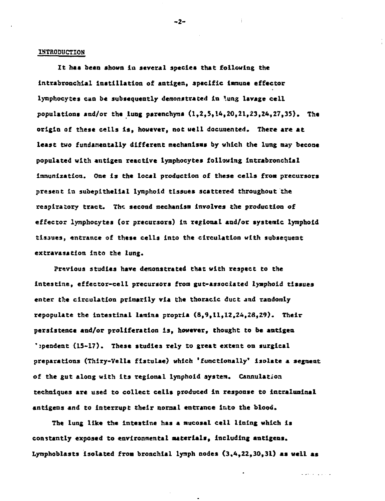### **IHTRODUCTION**

**It has been shown in several species that following the intrabronchlal instillation of antigen, specific immune effector** lymphocytes can be subsequently demonstrated in lung lavage cell **populations and/or the lung parenchyma (1,2,5,14,20,21,23,24,27,35). The origin of these cells is, however, not well documented. There are at least two fundamentally different mechanisms by which the lung may become populated with antigen reactive lymphocytes following intrabronchlal immunization. One is the local production of these cells from precursors present in subeplthelial lynphoid tissues scattered throughout the respiratory tract. The second mechanism involves the production of effector lymphocytes (or precursors) in regional and/or systemic lymphoid tissues, entrance of these cells into the circulation with subsequent extravasation into the lung.**

**Previous studies have demonstrated that with respect to the intestine, effector-cell precursors from gut-associated lyaphoid tissues enter the circulation primarily via the thoracic duct and randomly repopulate the Intestinal lamina propria (8,9,11,12,24,28,29). Their persistence and/or proliferation is, however, thought to be antigen ';pendent (15-17). These studies rely to great extent on surgical preparations (Thiry-Vella fistulae) which 'functionally\* isolate a segment of the gut along with its regional iynphoid system. Cannulatioa techniques are used to collect cells produced in response to intralumiaal antigens and to interrupt their aoraal entrance into the blood.**

**The lung like the intestine has a nucosal cell lining which is constantly exposed to environmental materials, including antigens.** Lymphoblasts isolated from bronchial lymph nodes  $(3,4,22,30,31)$  as well as

وأداو والمتحولة

**-2-**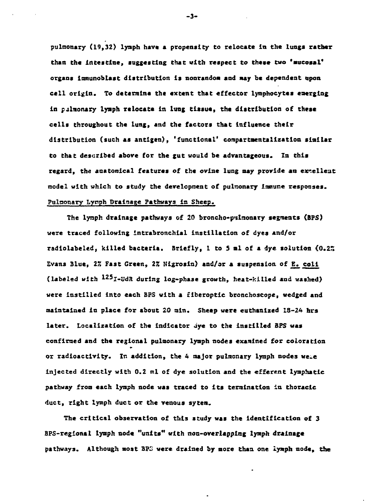**pultnonary (19,32) lyaph have a propensity to relocate in the lungs rather than the intestine, suggesting that with respect to these two 'mucosal\* organs imtnunoblast distribution is nonrandom and way be dependent upon cell origin. To determine the extent that effector lymphocytes emerging in pjlmonary lyaph relocate In lung tissue, the distribution of these cells throughout the lung, and the factors that influence their distribution (such as antigen), 'functional' compartoentallzatlon similar to that described above for the gut would be advantageous. In this regard, the anatomical features of the ovine lung may provide an excellent model with which to study the development of pulmonary Immune responses. Pulnonary Lynph Drainage Pathways in Sheep.**

**The lynph drainage pathways of 20 broncho-pulnonary segments (IPS) were traced following intrabronchlal instillation of dyes and/or radiolabeled, killed bacteria. Briefly, 1 to 5 »1 of a dye solution (0.22 Evans Blue, 17. Fast Green, 22 Nigrosin) and/or a suspension of E. coll (labeled with l25I-UdH during log-phase growth, heat-killed and washed) were Instilled into each BP5 with a fiberoptic bronchoscope, wedged and maintained in place for about 20 tain. Sheep were euthanized 18-24 hira later. Localization of the indicator dye to the instilled BPS was confined and the regional pulmonary lymph nodes examined for coloration or radioactivity. In addition, the 4 major pulnonary lyaph nodes ue.e injected directly with 0.2 ml of dye solution and the efferent lymphatic pathway from each lyaph node was traced to its termination in thoracic duct, right lymph duct or the venous sytem.**

**The critical observation of this study was the identification of 3 BPS-regional lymph node "units" with non-overlapping lynph drainage pathways. Although most BP3 were drained by more than one lymph node, the**

**-3-**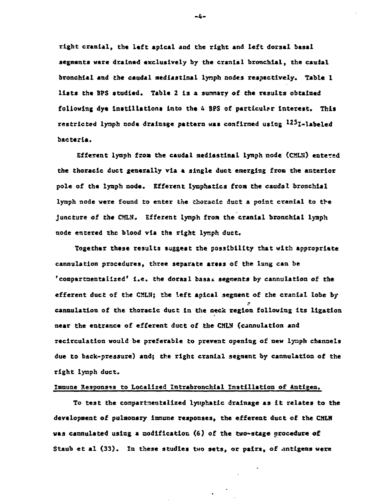**rlght cranial, the left apical and the right and left dorsal basal segments were drained exclusively by the cranial bronchial, the caudal bronchial and the caudal nediastinal lynph nodes respectively. Table 1 lists the BPS studied. Table 2 is a summary of the results obtained following dye instillations Into the 4 BPS of particular interest. This restricted lynph node drainage pattern was confirmed using l25I-labeled bacteria.**

**Efferent lytaph froa the caudal nediastinal lynph node (CMLTl) entered the thoracic duct generally via a single duct emerging from the anterior pole of the lymph node. Efferent lymphatics from the caudal bronchial lymph node were found to enter the thoracic duct a point cranial to the juncture of the CMLN. Efferent lymph fron the cranial bronchial lyaph node entered the blood via the right lynph duct.**

**Together these results suggest the possibility that with appropriate cannulation procedures, three separate areas of the lung can be** 'compartmentalized' i.e. the dorsal basa*i* segments by cannulation of the **efferent duct of the CMLN; the left apical segment of the cranial lobe by cannulation of the thoracic duct in the neck region following Its ligation near the entrance of efferent duct of the CMLN {cannulation and recirculation would be preferable to prevent opening of new lynph channels due to back-pressure) and; the right cranial segment by cannulation of the right lymph duct.**

# **Immune Responses to Localized Intrabronchial Instillation of Antigen.**

**To test the compartmentalized lytiphatlc drainage as it relates to the** development of pulmonary immune responses, the efferent duct of the CMLN **was cannulated using a modification (6) of the two-stage procedure of Staub et al (33). In these studies two sets, or pairs, of antigens were**

**-4-**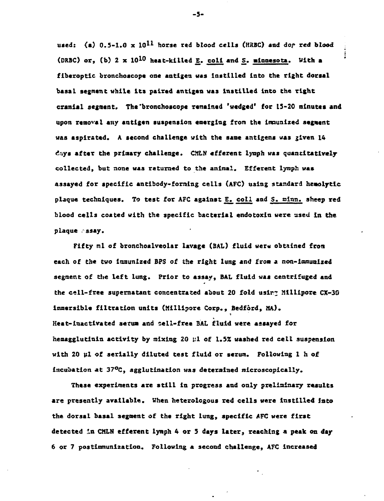used: (a) 0.5-1.0 x 10<sup>11</sup> horse red blood cells (HRBC) and dor red blood **(DRBC) or, (b) 2 x 10<sup>10</sup> heat-killed Z. coli and S. •innesota. Vlth a fiberoptic bronchoacope one antigen was Instilled into the right dorsal basal segment while its paired antigen was Instilled into the right cranial segment. The"bronchoscope remained 'wedged' for 15-20 minutes and upon removal any antigen suspension emerging from the imaunized segment was aspirated. A second challenge with the sane antigens was £iven 14 days after the primary challenge. CMLN efferent lymph was quantitatively collected, but none was returned to the animal. Efferent lymph was assayed for specific antibody-foriaing cells (AFC) using standard hemolrtic** plaque techniques. To test for AFC against E. coll and S. minn. sheep red **blood cells coated with the specific bacterial endotoxin were used in the plaque .ssay.**

Fifty ml of bronchoalveolar lavage (BAL) fluid were obtained from **each of the two immunized BPS of the right lung and from a noa-ionuaized segment of the left lung. Prior to assay, BAL fluid was centrifuged and the cell-free supernatant concentrated about 20 fold usir? Milllpore CX-30 immarsible filtration units (Hillipore Corp., Bedford, HA). Heat-inactivated serua and sell-free BAL fluid were assayed for** hemagglutinin activity by mixing 20  $\mu$ 1 of 1.5% washed red cell suspension **with 20 ul of serially diluted test fluid or serum. Following 1 h of incubation at 37°C, agglutination was deterained microscopically.**

**These experiments are still in progress and only preliminary results are presently available. When heterologous red cells were instilled into the dorsal basal segment of the right lung, specific AFC were first detected in CMLN efferent lymph 4 or 5 days later, reaching a peak on day 6 or 7 postimmunization. Following a second challenge, AFC increased**

**-5-**

÷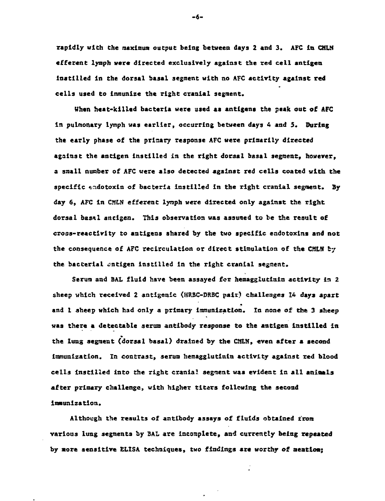**rapidly with the maximum output being between days 2 and 3, AFC In CHLN efferent lymph were directed exclusively against the red cell antigen Instilled in the dorsal basal segment with no AFC activity against red cells used to immunize the right cranial segment.**

**When heat-killed bacteria were used as antigens the peak out of AFC in pulmonary lymph was earlier, occurring between days 4 and 5. During the early phase of the prloary response AFC were primarily directed against the antigen instilled in the right dorsal basal segment, however, a snail number of AFC were also detected against red cells coated with the specific tndotoxin of bacteria instilled In the right cranial segnent. By day 6, AFC in CMLN efferent lyraph were directed only against the Tight dorsal basil antigen. This observation was assumed to be the result of cross-reactivity to antigens shared by the two specific endotoxlns and not** the consequence of AFC recirculation or direct stimulation of the CMLH by **the bacterial antigen instilled in the right cranial segment.**

**Serum and BAL fluid have been assayed for henagglutinin activity in 2 sheep which received 2 antlgenic (HRBC-DRBC pair) challenges 14 days apart and 1 sheep which had only a primary Immunization. In none of the 3 sheep was there a detectable serum antibody response to the antigen instilled in the lung segnent {dorsal basal) drained by the CMLN, even after a second immunization. In contrast, serum hemagglutinin activity against zed blood cells instilled into the right cranial segment was evident in all aniaals after primary challenge, with higher titsrs following the second immunization.**

**Although the results of antibody assays of fluids obtained from various lung segments by BAL are incomplete, and currently being repeated by sore sensitive ELISA techniques, two findings are worthy of aeatioa;**

 $-6-$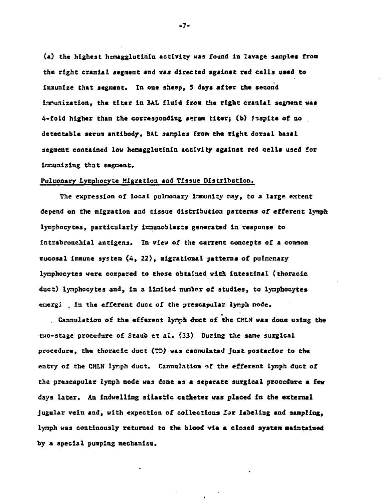**(a) the highest hemagglutinin activity was found in lavage sanplcs from the right cranial segment and was directed against red cells used to** Immunize that segment. In one sheep, 5 days after the second **immunization, the titer In BAL fluid from the right cranial segment was 4-fold higher than the corresponding scrum titer; (b) fispite of no detectable serum antibody, BAL samples from the right dorsal basal segment contained low hemagglutlnln activity against red cells used for immunizing that segment.**

# **Pulaonary Lymphocyte Migration and Tissue Distribution.**

**The expression of local pulmonary immunity may, to a large extent depend on the migration and tissue distribution patterns of efferent lyrcph lyaphocytes, particularly inaunoblasts generated la response to intrabronchlai antigens. In view of the current concepts of a common mucosal immune system (4, 22), migratlonal patterns of pulmonary lymphocytes were compared to those obtained with Intestinal (thoracic duct) lymphocytes and, in a limited number of studies, to lymphocytes emergi \_ in the efferent ducc of the prescapular lynph node.**

**Cannulatlon of the efferent lymph duct of the CMLN was done using the** two-stage procedure of Staub et al. (33) During the same surgical **procedure, the thoracic duct (TO) was cannulated Just posterior to the entry of the CMLN lymph duct. Cannulation of the efferent lymph duct of the prescapular lymph node was done as a separate surgical procedure a few days later. An indwelling silastlc catheter was placed in the external jugular vein and, with expection of collections for labeling and sampling, lymph was continously returned to the blood via a closed system maintained by a special pumping mechanism.**

**-7-**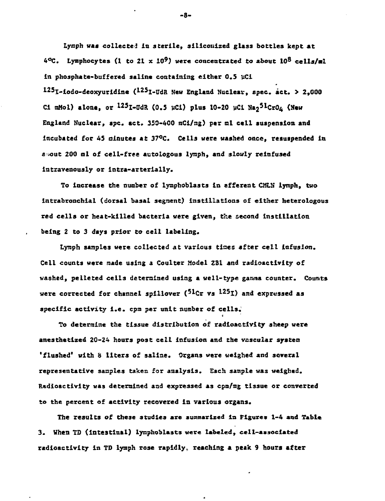**Lymph was collected in sterile, silicouized glass bottles kept at 4°C. Lymphocytes (1 to 21 x 10<sup>9</sup>) were concentrated to about 10<sup>s</sup> cells/al in phosphate-buffered saline containing either 0,5 uCi <sup>125</sup>I-iodo-deoxyuridine (<sup>125</sup>I-UdR Hew England Nuclear, spec. act. > 2,000** Ci mMol) alone, or <sup>125</sup>I-UdR (0.5 µCi) plus 10-20 µCi Na<sub>2</sub><sup>51</sup>CrO<sub>4</sub> (New England Nuclear, spc. act. 350-400 mCi/mg) per ml cell suspension and **incubated for 45 aiautes at 37°C. Cells were washed once, resuspended in e >out 200 nl of cell-free autologous lymph, and slowly reinfused intravenously or intra-arterially.**

**To increase the number of lymphoblasts in efferent CMLN lymph, two intrabronchial (dorsal basal segment) instillations of either heterologous red cells or heat-killed bacteria were given, the second Instillation being 2 to 3 days prior to cell labeling.**

**Lymph samples were collected at various tines after cell infusion. Cell counts were made using a Coulter Model ZS1 and radioactivity of washed, pelleted cells determined using a well-type gamma counter. Counts were corrected for channel spillover ('<sup>1</sup>Cr vs "•<sup>25</sup>I) and expressed as specific activity i.e. cpm per unit number of cells.**

**To determine the tissue distribution of radioactivity sheep were anesthetized 20-24 hours post cell infusion and the vascular syatea 'flushed\* with 8 liters of saline. Organs were weighed and several representative samples taken for analysis. Each sample was weighed. Radioactivity was determined and expressed as cpm/mg tissue or converted to the percent of activity recovered in various organs.**

**The results of these studies axe summarized in Figures 1-4 and Table 3. When TD (intestinal) lyraphoblasts were labeled, cell-associated radioactivity in TD lymph rose rapidly, reaching a peak 9 hours after**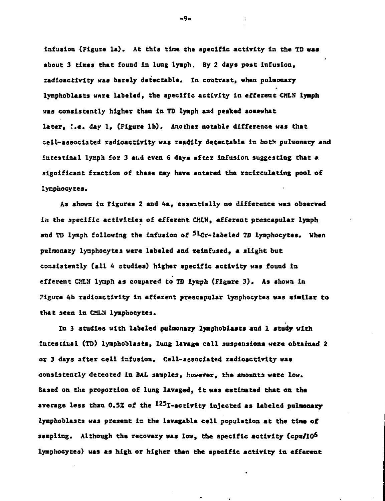**infusion (Figure la). At this time the specific activity in the TD was about 3 tines that found in lung lymph. By 2 days post infusion, radioactivity was barely detectable. In contrast, when pulmonary lymphoblasts wure labeled, the specific activity in efferent CMLJJ lymph was consistently higher than in TD lynph and peaked somewhat later, i.e. day 1, (Figure 1b). Another notable difference was that cell-associated radioactivity was readily detectable in both puliaonary and intestinal lynph for 3 arid even 6 days after infusion suggesting that \* significant fraction of these may have entered the rsclrcuLating pool of lyaphocytes.**

**As shown in Figures 2 and 4a, essentially no difference was observed in the specific activities of efferent CMLN, efferent prcscapuiar lymph** and TD lymph following the infusion of <sup>51</sup>Cr-labeled TD lymphocytes. When **pulmonary lyaphocytes were labeled and relnfused, a slight but consistently (all 4 studies) higher specific activity was found In efferent CMLN lynph as compared to TO lymph (Figure 3) . As shown in Figure 4b radioactivity in efferent prescapular lymphocytes was similar to that seen in CMLN lymphocytes.**

**In 3 studies with labeled pulmonary lymphoblasts and I study with intestinal (TD) lymphoblasts, lung lavage cell suspensions were obtained 2 or 3 days after cell infusion. Cell-associated radioactivity was consistently detected in SAL samples, however, the amounts were low. Based on the proportion of lung lavaged, it was estimated that on the average less than 0.52 of the <sup>125</sup>I-activlty injected as labeled pulmonary lymphoblasts was present is the lavagable cell population at the tine of sampling. Although the recovery was low, the specific activity tepm/10\* lymphocytes) was as high or higher than the specific activity in efferent**

**-9-**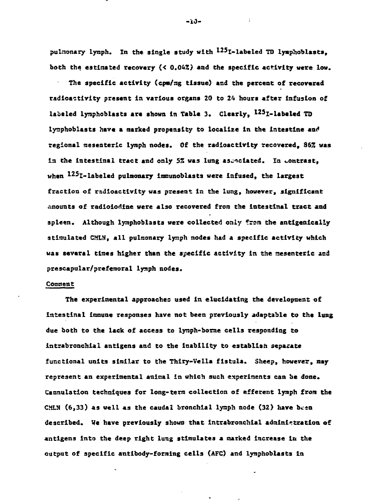**pulnonary lymph. In the single study with i-<sup>25</sup>1-labeled TD lyaphoblasts, both the estimated recovery {< 0.042) and the specific activity were low.**

**The specific activity (cpn/ng tissue) and the percent of recovered radioactivity present in various organs 20 to 2A hours after infusion of** labeled lymphoblasts are shown in Table 3. Clearly, <sup>125</sup>I-labeled TD **lymphoblasts have a narked propensity to localize in the intestine am\* regional raesenterlc lymph nodes. Of the radioactivity recovered, 86Z was** in the intestinal tract and only 5% was lung associated. In contrast, **when <sup>125</sup>I-labeled pulmonary lmmunoblasts were infused, the largest fraction of radioactivity was present In the lung, however, significant** amounts of radioiodine were also recovered from the intestinal tract and **spleen. Although iynphoblasts were collected only from the antlgenicalLy stimulated CMLN, all pulmonary lymph nodes had a specific activity which** was several times higher than the specific activity in the mesenteric and **prescapular/prefenoral lymph nodes.**

## **Comment**

**The experimental approaches used in elucidating the development of Intestinal immune responses have not been previously adaptable to the lung due both to the lack of access to lymph-borne cells responding to intrabronchial antigens and to the inability to establish separate functional units similar to the Thiry-Vella fistula. Sheep, however, nay represent an experimental animal in which such experiments can be done. Cannulation techniques for long-term collection of efferent lymph front the** CMLN (6,33) as well as the caudal bronchial lymph node (32) have been **described. We have previously shown that intrabronchial administration of antigens into the deep right lung stimulates a marked increase In the output of specific antibody-forming cells (AFC) and lymphoblasts in**

**-w-**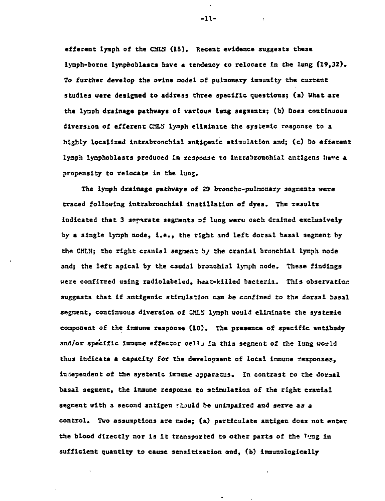**efferent lynph of the CMLN (IS). Recent evidence suggests these lymph-borne lymphoblasts have a tendency to relocate in the lung (19,32). To further develop the ovine model of pulmonary immunity the current studies were designed to address three specific questions; (a) What are the lynph drainage pathways of various lung segments; (b) Does continuous diversion of efferent CHLIJ lymph eliminate the systemic response to a highly localized intrabroachial antigenic stimulation and; (c) Do efferent lynph lymphoblasts produced in response to lntrabronchial antigens have a, propensity to relocate In the lung.**

**The lynph drainage pathways of 20 broncho-pulmonary segments were traced following intrabronchial instillation of dyes. The results** indicated that 3 serarate segments of lung were each drained exclusively **by a single lynph node, i.e., the right and left dorsal basal segment by the CMLN; the right cranial segment by the cranial bronchial lynph node and; the left apical by the caudal bronchial lynph node. These findings were confirmed using radiolabeled, heat-killed bacteria. This observation suggests that if antigenic stimulation can be confined to the dorsal basal** segment, continuous diversion of CMLN lymph would eliminate the systemic **coxaponent of the immune response (10). The presence of specific antibody** and/or specific immune effector cell; in this segment of the lung would **thus Indicate a capacity for the development of local immune responses, independent of the systemic immune apparatus. In contrast to the dorsal basal segment, the Immune response to stimulation of the right cranial segment with a second antigen riuuld be unimpaired and serve as a control. Two assumptions are Bade; (a) partlculate antigen does not enter** the blood directly nor is it transported to other parts of the lang in **sufficient quantity to cause sensitization and, (b) imnunologically**

**-11-**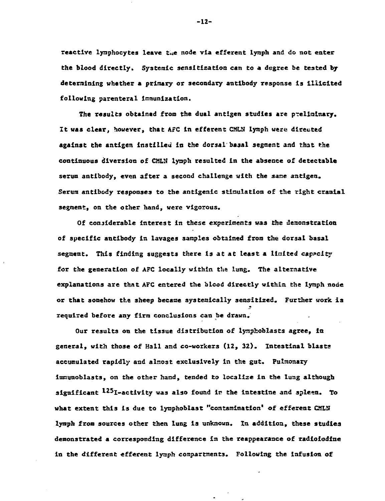**reactive lynphocytes leave t.ie node via efferent Lymph and do not enter the blood directly. Systemic sensitization can to a degree be tested by determining whether a primary or secondary antibody response is illicited following parenteral immunization.**

**The results obtained from the dual antigen studies are p-eliralnary. It was clear, however, that AFC in efferent CML1J lymph were directed against the antigen instilled in the dorsal basal segment and that the continuous diversion of CMLN lyaph resulted in the absence of detectable serum antibody, even after a second challenge with the sane antigen. Serum antibody responses to the antigenic stimulation of the right cranial segment, on the other hand, were vigorous.**

**Of considerable interest in these experiments was the demonstration of specific antibody in lavages samples obtained from the dorsal basal segment. This finding suggests there is at at least a Halted capacity for the generation of AFC locally within the lung. The alternative explanations are that AFC entered the blood directly within the lymph node or that somehow the sheep became systeraicalily sensitized. Further work is required before any firm conclusions can be drawn.**

**Our results on the tissue distribution of lynphoblasts agree, la general, with those of Hall and co-workers (12, 32). Intestinal blasts accumulated rapidly and almost exclusively in the gut. Pulmonary immunoblasts, on the other hand, tended to localize in the lung although significant ^^^I-activity was also found in the intestine and spleen. To what extent this is due to lymphoblast "contamination\* of efferent CMLM lymph from sources other then lung is unknown. In addition, these studies demonstrated a corresponding difference in the reappearance of radioiodiae in the different efferent lymph compartments. Following the infusion of**

**-12-**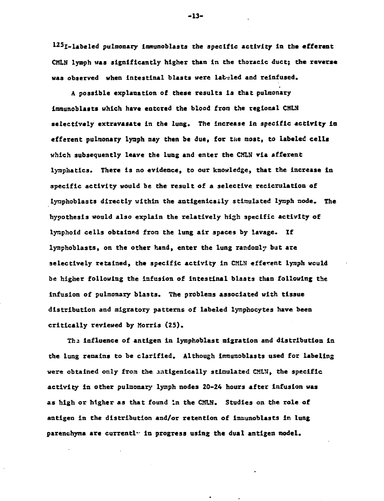125<sub>I-labeled pulmonary immunoblasts the specific activity in the efferent</sub> **CMLN lymph was significantly higher than in the thoracic duct; the reverse was observed when intestinal blasts were labeled and reinfused.**

**A possible explanation of these results is that pulmonary immunoblasts which have entered the blood from the regional CMLN selectively extravasatc in the lung. The increase in specific activity in** efferent pulmonary lynph may then be due, for the most, to labeled cells **which subsequently leave the lung and enter the CMLN via afferent lymphatics. There is no evidence, to our knowledge, that the Increase In specific activity would be the result of a selective recicrulatioa of lynphoblasts directly within the antlgenically stimulated lymph node. The hypothesis would also explain the relatively high specific activity of lyraphoid cells obtained from the lung air spaces by lavage. If lyraphoblasts, on the other hand, enter the lung randooly but are selectively retained, the specific activity in CMLN efferent lyaph would be higher following the infusion of intestinal blasts than following the infusion of pulmonary blasts. The problems associated with tissue distribution and migratory patterns of labeled lymphocytes have been critically reviewed by Morris (25).**

**Th2 influence of antigen in lymphoblast migration and distribution in the lung remains to be clarified. Although immunoblasts used for labeling** were obtained only from the antigenically stimulated CMLN, the specific **activity in other pulmonary lymph nodes 20-24 hours after infusion was as high or higher as that found in the CMLN. Studies on the role of antigen in the distribution and/or retention of Immunoblasts in lung parenchyma are current!• in progress using the dual antigen model.**

**-13-**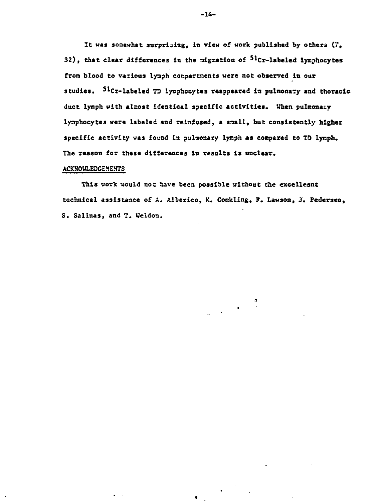**It was somewhat surprising, in view of work published by others (7, 32), that clear differences in the migration of <sup>5</sup>\*Cr-labeled lymphocytes** from blood to various lymph conpartments were not observed in our **studies. <sup>51</sup>Cr-labeled TO lynphocytes reappeared in pulnonary and thoracic duct lyiaph with alaost identical specific activities. When pulmonaiy lymphocytes were labeled and reinfused, a snail, but consistently higher** specific activity was found in pulmonary lymph as compared to TD lymph. **The reason for these differences in results is unclear.**

#### **ACKNOWLEDGEMENTS**

**This work would not have been possible without Che excellesnt technical assistance of A. Alberico, K. Conkling, F. Lawaon, J. Pedersen, S. Salinas, and T. Weldon.**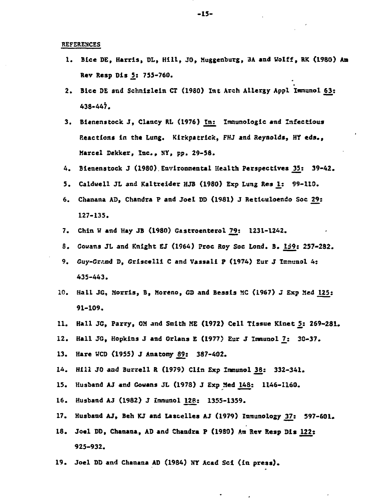**REFEREHCES**

- **1. Bice DE, Harris, DL, Hill, JO, Muggenburg, 3A and Wolff, RK (1980) Am**  $Rev$  Resp Dis 5: 755-760.
- **2. Bice DE and Schnlzlein CT (1980) Int Arch Allergy Appl Immunol 63: 438-447.**
- **3. Bienenstock J, Clancy RI, (1976) In; Imnunologic and Infectious** Reactions in the Lung. Kirkpatrick, FHJ and Reynolds, HY eds., **Marcel Dekker, Inc., NY, pp. 29-58.**
- **4. Bienenstock J (1980).Environmental Health Perspectives JJ5s 39-42.**
- **5. CaIdwe11 JL and Kaltreider HJB (1980) Exp Lung Res U 99-119.**
- **6. Chaaana AD, Chandra P and Joel BD (1981) J Reticuloendo Soc 29; 127-135.**
- **7. Chin H and Hay JB (1980) Gastroenterol 79: 1231-1242.**
- **S. Cowans JL and Knight EJ (1964) Proc Roy Soc Lond. S. Ii9: 257-292.**
- **9. Guy-Grand D, Grlscelll C and Vassal! P (1974) Eur J Immunol 4: 435-443.**
- **10. Hall JG, Morris, B, Moreno, GD and Beasts MG (1967) J Exp Mad 125; 91-109.**
- 11. Hall JG, Parry, OM and Smith ME (1972) Cell Tissue Kinet 5: 269-281.
- **12. Hall JG, Hopkins J and Orians E (1977) Eur J Imuaol 7j 30-37.**
- 13. Hare WCD (1955) J Anatomy 89: 387-402.
- **14. Hill JO and Burrell R (1979) Clin Exp Immunol\_3^: 332-341.**
- **15. Husband AJ and Cowans JL (1973) J Exp Med J48: 1146-1160.**
- 16. Husband AJ (1982) J Immunol 128: 1355-1359.
- **17. Husband AJ, Beh KJ and Uscelles AJ (1979) Immunology J37: 597-601.**
- **18. Joel DD, Chanana, A9 and Chandra P (19S0) An Rev Resp Bis 122; 925-932.**
- **19. Joel DO and Chanana AD (1934) NY Acad Set (in press).**

**-15-**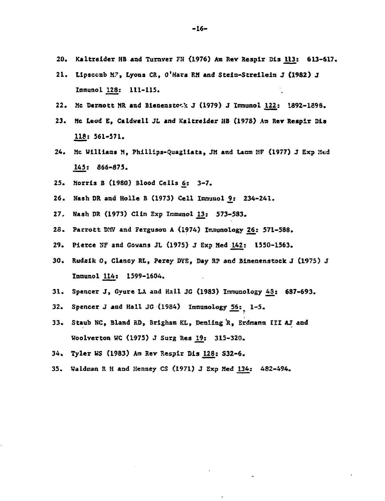- **20. Kaltreider HB and Turaver FH {1976) Am Rev Respir Bis ^13.: 613-617.**
- **21. Lipsceab M7, Lyons CR, O'Hara RM and Stein>5treilein J (1982) J Inmunol 128: 111-115.**
- **22. He Dermott MR and Bienenstc-k J (1979) J Immunol 122,: 1892-1898.**
- **23. Me Leod E, Caldwell JL and Kaltreider HB (1978) An Rev Respir DIs 118i 561-571.**
- 24. Mc Williams M, Phillips-Quagliata, JM and Lamm MF (1977) J Exp Med **145i 866-875.**
- **25. Morris B (19S0) Blood Cells j6: 3-7.**
- **26. Nash DR and Holle B (1973) Cell Innuuol 2.: 234-241.**
- **27. Nash DR (1973) Clin Exp Iraounol J13: 573-583.**
- **28. Parrott DM<sup>1</sup>/ and Ferguson A (1974) Immunology 2£: 571-588.**
- 29. Pierce NF and Gowans JL (1975) J Exp Med 142: 1550-1563.
- **30. Rudzik 0, Clancy Rt, Perey BYE, Day ft? and Binenenatock J (1975) J Inmunol UM 1599-1604.**
- **31. Spencer J, Gyure LA and Hall JG (1983) Immunology 43: 687-693.**
- **32. Spencer J and Hall JG (1934) Immunology ^6:^ 1-5.**
- **33. Staub NC, Bland RD, Brighan KL, Deraling R, Erdmann III AJ and Woolverton HC (1975) J Surg Res ^9: 315-320.**
- **34. Tyler MS (1983) Am Rev Respir Bis JL28: S32-6.**
- **35. Waldoan R H and Henney CS (1971) J Exp Med U±t 482-494.**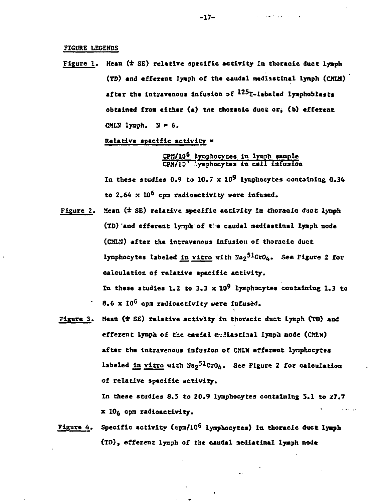# **FICURE LEGENDS**

**Figure 1, Mean (± SE) relative specific, activity in thoracic duct lyaph (TO) and efferent lymph of the caudal aedlastlnal lymph (CMLH) after the intravenous infusion of ^<sup>2</sup>^I-l\*beled iynphoblasts obtained fron either (a) the thoracic duct or^ <b) efferent CMLN** lymph.  $N = 6$ .

**Relative specific activity «**

**CPM/10<sup>6</sup> lymphocytes In lynph sample CPM/10' .lymphocytes in cell infusion**

In these studies 0.9 to 10.7  $\times$  10<sup>9</sup> lymphocytes containing 0.34 **to 2.64 x 10<sup>6</sup> cpm radioactivity were infused.**

- Figure 2. Mean (<sup>±</sup> SE) relative specific activity in thoracic duct lynph **(TD) and efferent lymph of t'e caudal nedlastinal lynph node (CMLM) after the intravenous Infusion of thoracic duct** lymphocytes labeled in vitro with Na<sub>2</sub><sup>51</sup>CrO<sub>4</sub>. See Figure 2 for **calculation of relative specific activity.** In these studies 1.2 to 3.3  $\times$  10<sup>9</sup> lymphocytes containing 1.3 to **8.6 x 10<sup>6</sup> cpn radioactivity were infused.**
- **Figure 3. Mean (4 SE) relative activity in thoracic duct lynph (TD) and efferent lymph of the caudal m^iastiaal lymph node (CMLN) after the intravenous Infusion of CMLN efferent lymphocytes** labeled in vitro with Na<sub>2</sub><sup>51</sup>CrO<sub>4</sub>. See Figure 2 for calculation **of relative specific activity.**

**In these studies 8.5 to 20.9 lymphocytes containing 5.1 to 27.7 x 10g cpm radioactivity.**

**Figure 4. Specific activity (cpm/10<sup>6</sup> iynphocytes) in thoracic duct lyaph (TD), efferent lynph of the caudal nediatlnal lyaph node**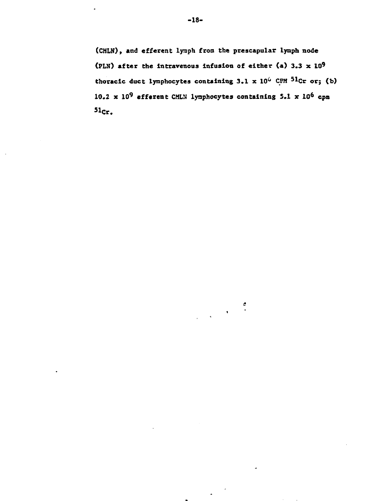**(CMLN), and efferent lymph froa the prescapular lynph node (PLN) after the Intravenous Infusion of either (a) 3.3 x ID<sup>9</sup> thoracic duct lynphocytea containing 3.1 x 10<sup>6</sup> CPM <sup>51</sup>Cr or; (b)**  $10.2 \times 10^9$  efferent CMLN lymphocytes containing 5.1  $\times$  10<sup>6</sup> cpm  $51<sub>cr</sub>$ 

 $\frac{d}{dt}$ 

 $\sim$   $\sim$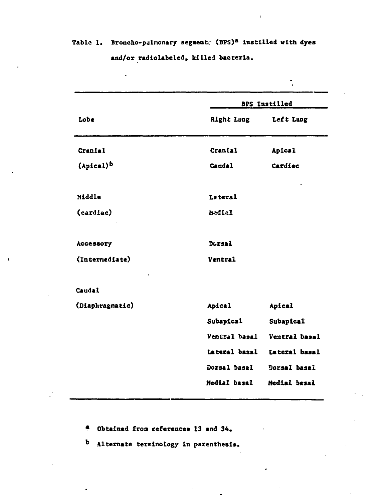**Table 1. Broncho-pulmonary segments (BPS)<sup>a</sup> Instilled with dyes and/or radlolabeled, killed bacteria.**

 $\overline{a}$ 

 $\bar{\mathbf{t}}$ 

|                       | BPS Instilled |               |  |  |  |
|-----------------------|---------------|---------------|--|--|--|
| Lobe                  | Right Lung    | Left Lung     |  |  |  |
| Cranial               | Cranial       | Apical        |  |  |  |
| (Apical) <sup>b</sup> | Caudal.       | Cardiac       |  |  |  |
| Middle                | Lateral       |               |  |  |  |
| (cardiac)             | hedial        |               |  |  |  |
| Accessory             | Dorsal        |               |  |  |  |
| (Intermediate)        | Ventral       |               |  |  |  |
| Caudal                |               |               |  |  |  |
| (Diaphragmatic)       | <b>Apical</b> | Apical        |  |  |  |
|                       | Subapical     | Subapical     |  |  |  |
|                       | Ventral basal | Ventral basal |  |  |  |
|                       | Lateral basal | Lateral basal |  |  |  |
|                       | Dorsal basal  | Dorsal basal  |  |  |  |
|                       | Medial basal  | Medial basal  |  |  |  |

**\* Obtained from references 13 and 34.**

**<sup>D</sup> Alternate terminology in parenthesis.**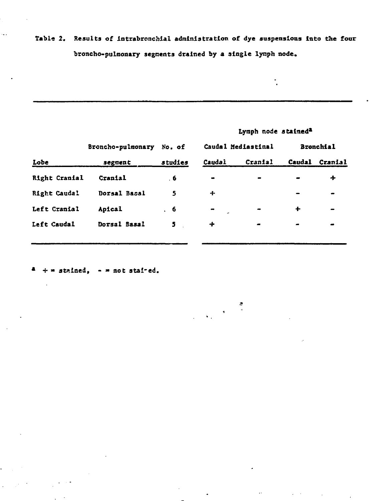# Table 2. Results of intrabronchial administration of dye suspensions into the four **broncho-pulmonary segments drained by a single lynph node.**

|               |                   |         | Lymph node stained <sup>2</sup> |                    |           |                  |
|---------------|-------------------|---------|---------------------------------|--------------------|-----------|------------------|
|               | Broncho-pulmonary | No. of  |                                 | Caudal Mediastinal |           | <b>Bronchial</b> |
| Lobe          | segment           | studies | Caudal                          | Cranial            | Caudal    | Cranial          |
| Right Cranial | Cranial           | . 6     | $\bullet$                       | $\sim$             |           | +                |
| Right Caudal  | Dorsal Basal      | 5       | ┿                               |                    |           |                  |
| Left Cranial  | Apical            | . 6     | $\bullet$                       | $\bullet$          | $\ddot{}$ |                  |
| Left Caudal   | Dorsal Basal      | 5       | ∔                               | $\bullet$          | $\bullet$ |                  |
|               |                   |         |                                 |                    |           |                  |

 $\mathcal{D}$ 

 $\frac{1}{\lambda_{\rm{B}}}\left(\frac{1}{\lambda_{\rm{B}}}\right)$ 

**\* + \* stained, - « not stai-ed.**

 $\mathcal{A}^{\mathcal{A}}$ 

 $\mathbf{r}$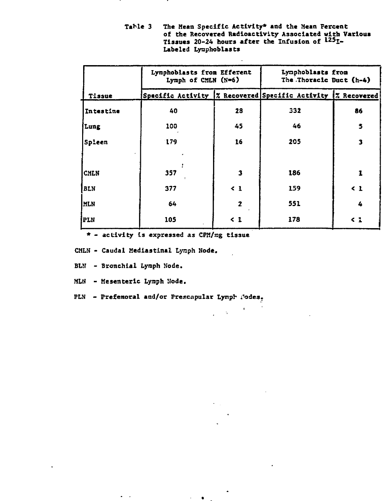|             | Lymphoblasts from Efferent<br>Lymph of CMLN (N=6) |                         | Lynphoblasts from<br>The Thoracic Duct (h-4)                    |          |  |
|-------------|---------------------------------------------------|-------------------------|-----------------------------------------------------------------|----------|--|
| Tissue      |                                                   |                         | Specific Activity   7 Recovered Specific Activity   7 Recovered |          |  |
| Intestine   | 40                                                | 28                      | 332                                                             | 86       |  |
| Lung        | 100                                               | 45                      | 46                                                              | 5        |  |
| Spleen      | 179                                               | 16                      | 205                                                             | 3        |  |
|             |                                                   |                         |                                                                 |          |  |
| <b>CMLN</b> | 357                                               | $\overline{\mathbf{3}}$ | 186                                                             | 1        |  |
| BLN         | 377                                               | $\leq 1$                | 159                                                             | $\leq 1$ |  |
| <b>MLN</b>  | 64                                                | $\mathbf{z}$            | 551                                                             | 4        |  |
| PLN         | 105                                               | $\leq 1$                | 178                                                             | <1       |  |

 $\epsilon_{\rm a}$ 

Table 3 The Mean Specific Activity\* and the Mean Fercent **of the Recovered Radioactivity Associated with Various Tissues 20-24 hours after the Infusion of l25 I - Labeled Lyaphoblasts**

**\* - activity Is expressed as CPM/rag tissue**

**CMLN - Caudal Mediastinal Lynph Node,**

**BLN - Bronchial Lynph Node.**

**MLN - Mesenteric Lynph Node.**

PLN - Prefemoral and/or Prescapular Lymph Jodes.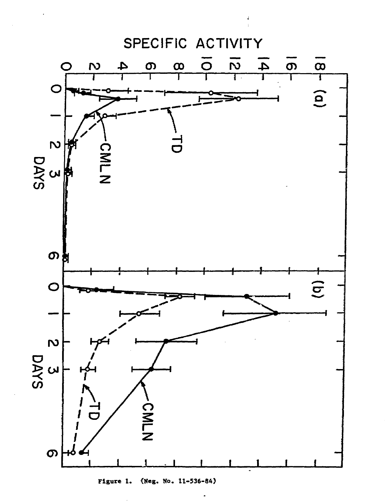

**Figure 1. (Neg. Mo. 11-536-84)**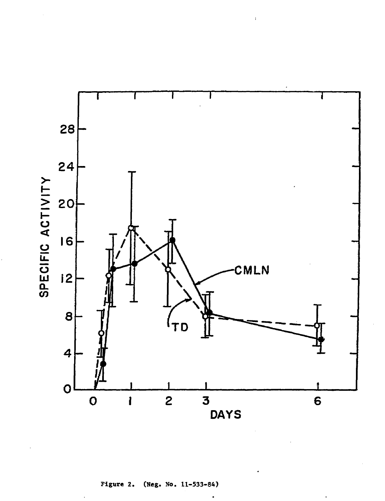

**Figure 2. (Neg. No. 11-533-84)**